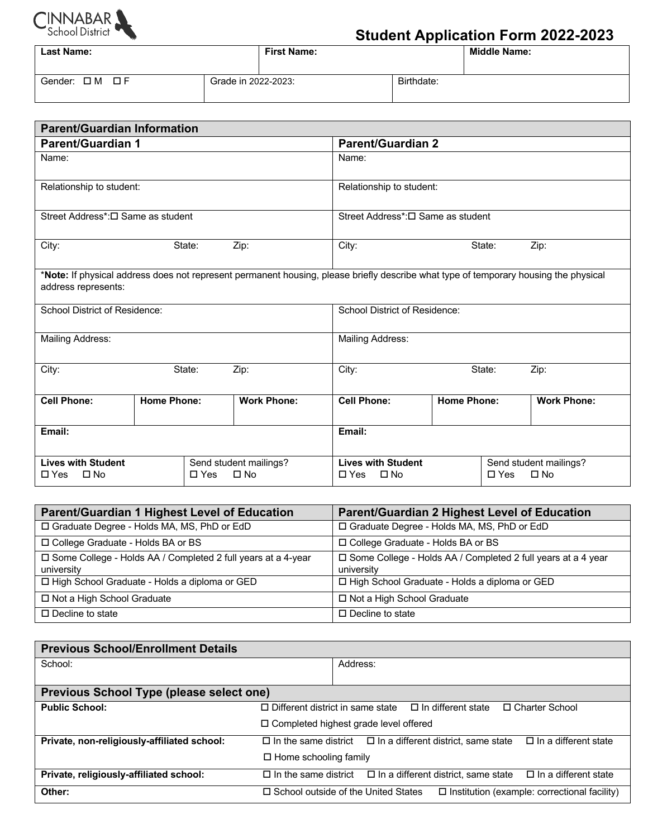

## **Student Application Form 2022-2023**

| <b>Last Name:</b> |                     | <b>First Name:</b> |            | <b>Middle Name:</b> |
|-------------------|---------------------|--------------------|------------|---------------------|
| Gender:<br>OM OF  | Grade in 2022-2023: |                    | Birthdate: |                     |

| <b>Parent/Guardian Information</b>                         |                    |                               |                                                                                                                                      |                                                         |                    |            |                                        |
|------------------------------------------------------------|--------------------|-------------------------------|--------------------------------------------------------------------------------------------------------------------------------------|---------------------------------------------------------|--------------------|------------|----------------------------------------|
| <b>Parent/Guardian 1</b>                                   |                    |                               |                                                                                                                                      | <b>Parent/Guardian 2</b>                                |                    |            |                                        |
| Name:                                                      |                    |                               |                                                                                                                                      | Name:                                                   |                    |            |                                        |
| Relationship to student:                                   |                    |                               |                                                                                                                                      | Relationship to student:                                |                    |            |                                        |
| Street Address*:□ Same as student                          |                    |                               |                                                                                                                                      | Street Address*:□ Same as student                       |                    |            |                                        |
| City:                                                      |                    | State:                        | Zip:                                                                                                                                 | City:                                                   |                    | State:     | Zip:                                   |
| address represents:                                        |                    |                               | *Note: If physical address does not represent permanent housing, please briefly describe what type of temporary housing the physical |                                                         |                    |            |                                        |
| School District of Residence:                              |                    | School District of Residence: |                                                                                                                                      |                                                         |                    |            |                                        |
| Mailing Address:                                           |                    | Mailing Address:              |                                                                                                                                      |                                                         |                    |            |                                        |
| City:                                                      |                    | State:                        | Zip:                                                                                                                                 | City:                                                   |                    | State:     | Zip:                                   |
| <b>Cell Phone:</b>                                         | <b>Home Phone:</b> |                               | <b>Work Phone:</b>                                                                                                                   | <b>Cell Phone:</b>                                      | <b>Home Phone:</b> |            | <b>Work Phone:</b>                     |
| Email:                                                     |                    |                               |                                                                                                                                      | Email:                                                  |                    |            |                                        |
| <b>Lives with Student</b><br>$\square$ No<br>$\square$ Yes |                    | $\Box$ Yes                    | Send student mailings?<br>$\square$ No                                                                                               | <b>Lives with Student</b><br>$\square$ No<br>$\Box$ Yes |                    | $\Box$ Yes | Send student mailings?<br>$\square$ No |

| <b>Parent/Guardian 1 Highest Level of Education</b>                          | <b>Parent/Guardian 2 Highest Level of Education</b>                          |
|------------------------------------------------------------------------------|------------------------------------------------------------------------------|
| □ Graduate Degree - Holds MA, MS, PhD or EdD                                 | □ Graduate Degree - Holds MA, MS, PhD or EdD                                 |
| □ College Graduate - Holds BA or BS                                          | □ College Graduate - Holds BA or BS                                          |
| □ Some College - Holds AA / Completed 2 full years at a 4-year<br>university | □ Some College - Holds AA / Completed 2 full years at a 4 year<br>university |
| □ High School Graduate - Holds a diploma or GED                              | □ High School Graduate - Holds a diploma or GED                              |
| □ Not a High School Graduate                                                 | □ Not a High School Graduate                                                 |
| $\Box$ Decline to state                                                      | $\Box$ Decline to state                                                      |

| <b>Previous School/Enrollment Details</b>   |                                                                                                       |  |  |  |
|---------------------------------------------|-------------------------------------------------------------------------------------------------------|--|--|--|
| School:                                     | Address:                                                                                              |  |  |  |
|                                             |                                                                                                       |  |  |  |
| Previous School Type (please select one)    |                                                                                                       |  |  |  |
| <b>Public School:</b>                       | $\Box$ Different district in same state<br>$\Box$ In different state<br>□ Charter School              |  |  |  |
|                                             | $\Box$ Completed highest grade level offered                                                          |  |  |  |
| Private, non-religiously-affiliated school: | $\Box$ In the same district $\Box$ In a different district, same state<br>$\Box$ In a different state |  |  |  |
|                                             | $\Box$ Home schooling family                                                                          |  |  |  |
| Private, religiously-affiliated school:     | $\Box$ In the same district $\Box$ In a different district, same state<br>$\Box$ In a different state |  |  |  |
| Other:                                      | □ School outside of the United States<br>$\Box$ Institution (example: correctional facility)          |  |  |  |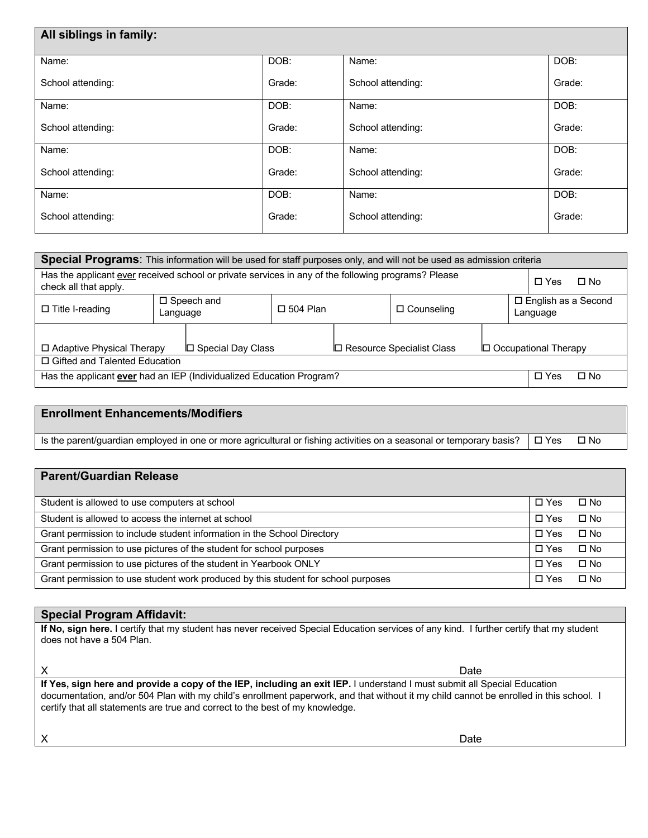| All siblings in family: |        |                   |        |
|-------------------------|--------|-------------------|--------|
| Name:                   | DOB:   | Name:             | DOB:   |
| School attending:       | Grade: | School attending: | Grade: |
| Name:                   | DOB:   | Name:             | DOB:   |
| School attending:       | Grade: | School attending: | Grade: |
| Name:                   | DOB:   | Name:             | DOB:   |
| School attending:       | Grade: | School attending: | Grade: |
| Name:                   | DOB:   | Name:             | DOB:   |
| School attending:       | Grade: | School attending: | Grade: |

| Special Programs: This information will be used for staff purposes only, and will not be used as admission criteria                                           |          |                                            |  |  |                                  |  |                                           |
|---------------------------------------------------------------------------------------------------------------------------------------------------------------|----------|--------------------------------------------|--|--|----------------------------------|--|-------------------------------------------|
| Has the applicant ever received school or private services in any of the following programs? Please<br>$\square$ Yes<br>$\square$ No<br>check all that apply. |          |                                            |  |  |                                  |  |                                           |
| $\Box$ Title I-reading                                                                                                                                        | Language | $\square$ Speech and<br>$\square$ 504 Plan |  |  | $\Box$ Counseling                |  | $\square$ English as a Second<br>Language |
| $\Box$ Special Day Class<br>$\Box$ Adaptive Physical Therapy                                                                                                  |          |                                            |  |  | $\Box$ Resource Specialist Class |  | □ Occupational Therapy                    |
| □ Gifted and Talented Education                                                                                                                               |          |                                            |  |  |                                  |  |                                           |
| Has the applicant ever had an IEP (Individualized Education Program?<br>$\Box$ Yes<br>$\Box$ No                                                               |          |                                            |  |  |                                  |  |                                           |

| Is the parent/guardian employed in one or more agricultural or fishing activities on a seasonal or temporary basis? $\Box$ Yes | $\square$ No |
|--------------------------------------------------------------------------------------------------------------------------------|--------------|

| <b>Parent/Guardian Release</b>                                                    |                            |
|-----------------------------------------------------------------------------------|----------------------------|
| Student is allowed to use computers at school                                     | $\Box$ Yes<br>$\square$ No |
| Student is allowed to access the internet at school                               | $\square$ No<br>$\Box$ Yes |
| Grant permission to include student information in the School Directory           | $\square$ No<br>$\Box$ Yes |
| Grant permission to use pictures of the student for school purposes               | $\square$ No<br>$\Box$ Yes |
| Grant permission to use pictures of the student in Yearbook ONLY                  | $\square$ No<br>$\Box$ Yes |
| Grant permission to use student work produced by this student for school purposes | $\square$ No<br>$\Box$ Yes |

## **Special Program Affidavit:**

**If No, sign here.** I certify that my student has never received Special Education services of any kind. I further certify that my student does not have a 504 Plan.

 $\boldsymbol{\mathsf{X}}$  Date to be a set of the contract of the contract of the contract of the contract of the contract of the contract of the contract of the contract of the contract of the contract of the contract of the contract

**If Yes, sign here and provide a copy of the IEP, including an exit IEP.** I understand I must submit all Special Education documentation, and/or 504 Plan with my child's enrollment paperwork, and that without it my child cannot be enrolled in this school. I certify that all statements are true and correct to the best of my knowledge.

 $\boldsymbol{\mathsf{X}}$  Date to be a set of the contract of the contract of the contract of the contract of the contract of the contract of the contract of the contract of the contract of the contract of the contract of the contract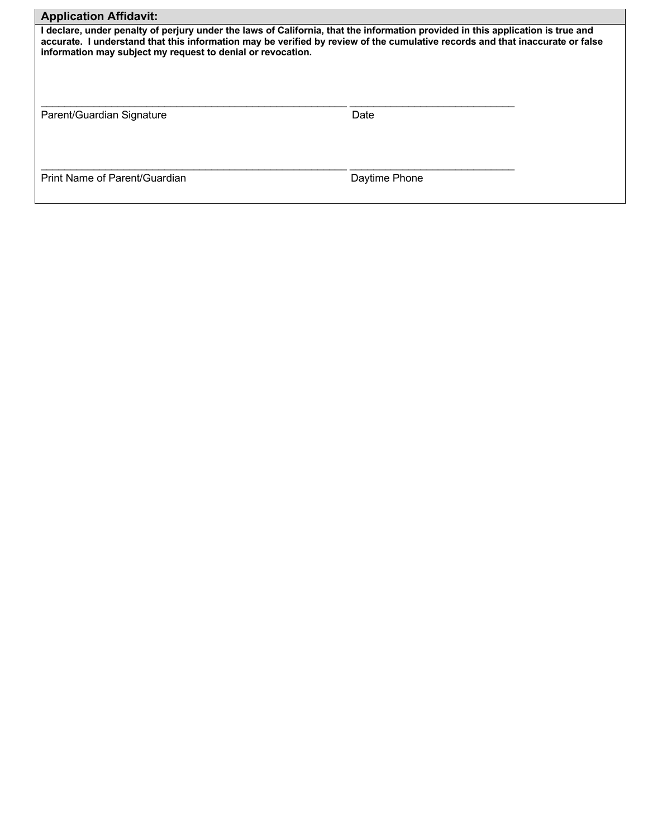| <b>Application Affidavit:</b> |  |
|-------------------------------|--|
|-------------------------------|--|

**I declare, under penalty of perjury under the laws of California, that the information provided in this application is true and accurate. I understand that this information may be verified by review of the cumulative records and that inaccurate or false information may subject my request to denial or revocation.** 

 $\mathcal{L}_\text{max}$  , and the contribution of the contribution of the contribution of the contribution of the contribution of the contribution of the contribution of the contribution of the contribution of the contribution of t

\_\_\_\_\_\_\_\_\_\_\_\_\_\_\_\_\_\_\_\_\_\_\_\_\_\_\_\_\_\_\_\_\_\_\_\_\_\_\_\_\_\_\_\_\_\_\_\_\_\_\_\_ \_\_\_\_\_\_\_\_\_\_\_\_\_\_\_\_\_\_\_\_\_\_\_\_\_\_\_\_

Parent/Guardian Signature Date

Print Name of Parent/Guardian Daytime Phone